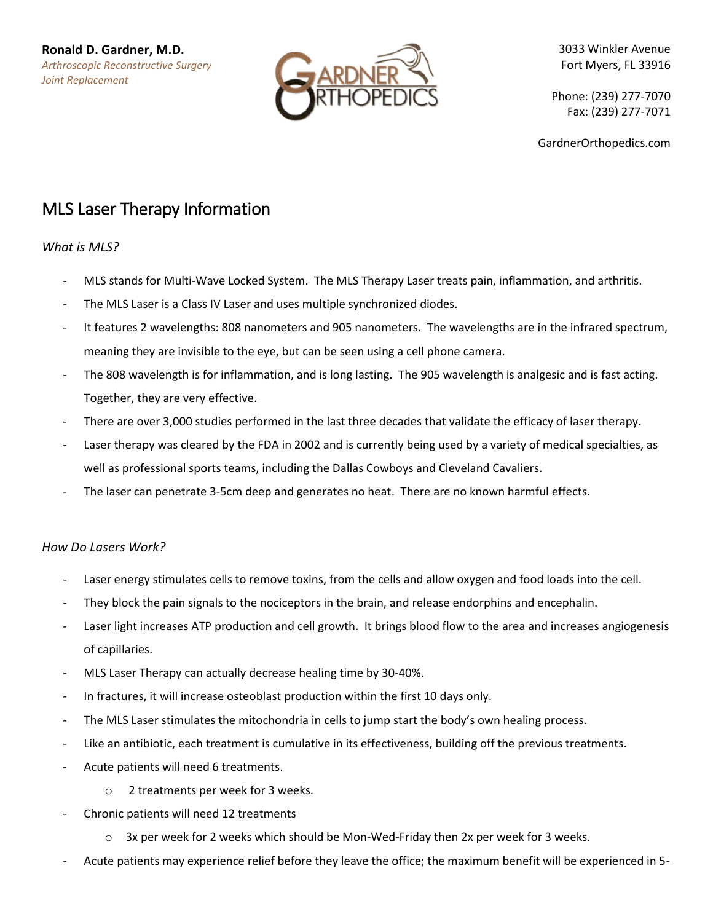

3033 Winkler Avenue Fort Myers, FL 33916

Phone: (239) 277-7070 Fax: (239) 277-7071

GardnerOrthopedics.com

# MLS Laser Therapy Information

### *What is MLS?*

- MLS stands for Multi-Wave Locked System. The MLS Therapy Laser treats pain, inflammation, and arthritis.
- The MLS Laser is a Class IV Laser and uses multiple synchronized diodes.
- It features 2 wavelengths: 808 nanometers and 905 nanometers. The wavelengths are in the infrared spectrum, meaning they are invisible to the eye, but can be seen using a cell phone camera.
- The 808 wavelength is for inflammation, and is long lasting. The 905 wavelength is analgesic and is fast acting. Together, they are very effective.
- There are over 3,000 studies performed in the last three decades that validate the efficacy of laser therapy.
- Laser therapy was cleared by the FDA in 2002 and is currently being used by a variety of medical specialties, as well as professional sports teams, including the Dallas Cowboys and Cleveland Cavaliers.
- The laser can penetrate 3-5cm deep and generates no heat. There are no known harmful effects.

## *How Do Lasers Work?*

- Laser energy stimulates cells to remove toxins, from the cells and allow oxygen and food loads into the cell.
- They block the pain signals to the nociceptors in the brain, and release endorphins and encephalin.
- Laser light increases ATP production and cell growth. It brings blood flow to the area and increases angiogenesis of capillaries.
- MLS Laser Therapy can actually decrease healing time by 30-40%.
- In fractures, it will increase osteoblast production within the first 10 days only.
- The MLS Laser stimulates the mitochondria in cells to jump start the body's own healing process.
- Like an antibiotic, each treatment is cumulative in its effectiveness, building off the previous treatments.
- Acute patients will need 6 treatments.
	- o 2 treatments per week for 3 weeks.
- Chronic patients will need 12 treatments
	- $\circ$  3x per week for 2 weeks which should be Mon-Wed-Friday then 2x per week for 3 weeks.
- Acute patients may experience relief before they leave the office; the maximum benefit will be experienced in 5-